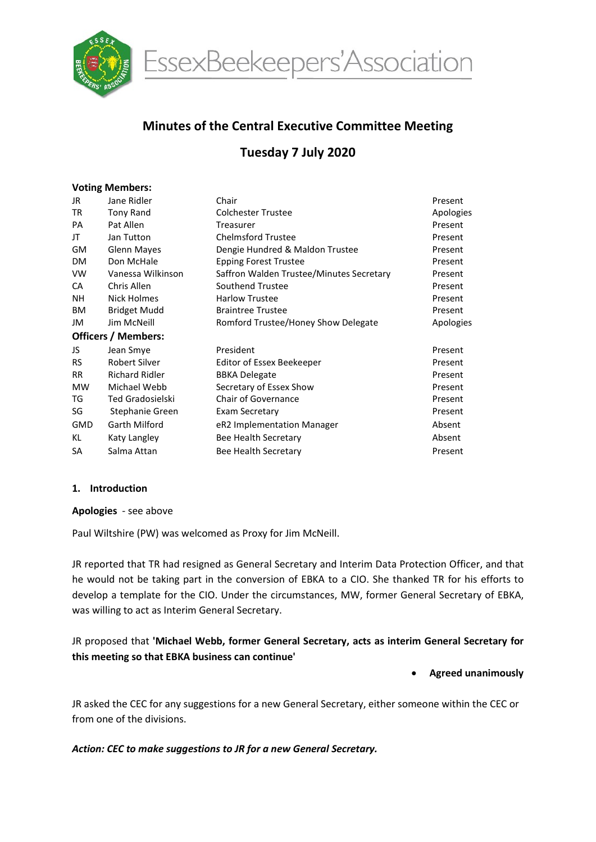

EssexBeekeepers'Association

# Minutes of the Central Executive Committee Meeting

# Tuesday 7 July 2020

#### Voting Members:

| JR         | Jane Ridler                | Chair                                    | Present   |
|------------|----------------------------|------------------------------------------|-----------|
| TR         | Tony Rand                  | <b>Colchester Trustee</b>                | Apologies |
| PA         | Pat Allen                  | Treasurer                                | Present   |
| JT         | Jan Tutton                 | <b>Chelmsford Trustee</b>                | Present   |
| GM         | Glenn Mayes                | Dengie Hundred & Maldon Trustee          | Present   |
| <b>DM</b>  | Don McHale                 | <b>Epping Forest Trustee</b>             | Present   |
| <b>VW</b>  | Vanessa Wilkinson          | Saffron Walden Trustee/Minutes Secretary | Present   |
| CA         | Chris Allen                | Southend Trustee                         | Present   |
| NΗ         | Nick Holmes                | <b>Harlow Trustee</b>                    | Present   |
| BM         | <b>Bridget Mudd</b>        | <b>Braintree Trustee</b>                 | Present   |
| JM         | Jim McNeill                | Romford Trustee/Honey Show Delegate      | Apologies |
|            | <b>Officers / Members:</b> |                                          |           |
| JS.        | Jean Smye                  | President                                | Present   |
| <b>RS</b>  | Robert Silver              | Editor of Essex Beekeeper                | Present   |
| <b>RR</b>  | <b>Richard Ridler</b>      | <b>BBKA Delegate</b>                     | Present   |
| <b>MW</b>  | Michael Webb               | Secretary of Essex Show                  | Present   |
| TG         | <b>Ted Gradosielski</b>    | <b>Chair of Governance</b>               | Present   |
| SG         | Stephanie Green            | Exam Secretary                           | Present   |
| <b>GMD</b> | Garth Milford              | eR2 Implementation Manager               | Absent    |
| KL         | Katy Langley               | Bee Health Secretary                     | Absent    |
| SA         | Salma Attan                | Bee Health Secretary                     | Present   |
|            |                            |                                          |           |

#### 1. Introduction

#### Apologies - see above

Paul Wiltshire (PW) was welcomed as Proxy for Jim McNeill.

JR reported that TR had resigned as General Secretary and Interim Data Protection Officer, and that he would not be taking part in the conversion of EBKA to a CIO. She thanked TR for his efforts to develop a template for the CIO. Under the circumstances, MW, former General Secretary of EBKA, was willing to act as Interim General Secretary.

JR proposed that 'Michael Webb, former General Secretary, acts as interim General Secretary for this meeting so that EBKA business can continue'

#### Agreed unanimously

JR asked the CEC for any suggestions for a new General Secretary, either someone within the CEC or from one of the divisions.

Action: CEC to make suggestions to JR for a new General Secretary.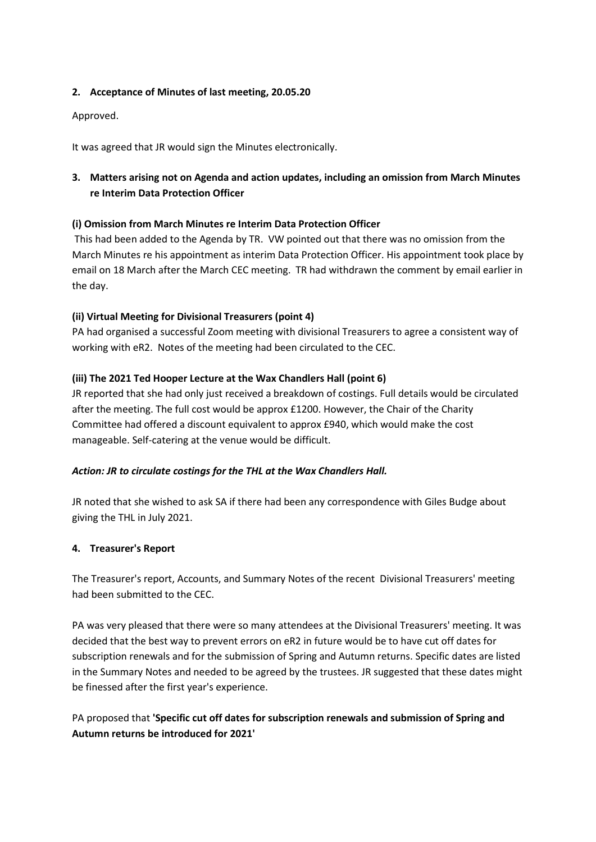## 2. Acceptance of Minutes of last meeting, 20.05.20

Approved.

It was agreed that JR would sign the Minutes electronically.

## 3. Matters arising not on Agenda and action updates, including an omission from March Minutes re Interim Data Protection Officer

#### (i) Omission from March Minutes re Interim Data Protection Officer

 This had been added to the Agenda by TR. VW pointed out that there was no omission from the March Minutes re his appointment as interim Data Protection Officer. His appointment took place by email on 18 March after the March CEC meeting. TR had withdrawn the comment by email earlier in the day.

#### (ii) Virtual Meeting for Divisional Treasurers (point 4)

PA had organised a successful Zoom meeting with divisional Treasurers to agree a consistent way of working with eR2. Notes of the meeting had been circulated to the CEC.

#### (iii) The 2021 Ted Hooper Lecture at the Wax Chandlers Hall (point 6)

JR reported that she had only just received a breakdown of costings. Full details would be circulated after the meeting. The full cost would be approx £1200. However, the Chair of the Charity Committee had offered a discount equivalent to approx £940, which would make the cost manageable. Self-catering at the venue would be difficult.

#### Action: JR to circulate costings for the THL at the Wax Chandlers Hall.

JR noted that she wished to ask SA if there had been any correspondence with Giles Budge about giving the THL in July 2021.

#### 4. Treasurer's Report

The Treasurer's report, Accounts, and Summary Notes of the recent Divisional Treasurers' meeting had been submitted to the CEC.

PA was very pleased that there were so many attendees at the Divisional Treasurers' meeting. It was decided that the best way to prevent errors on eR2 in future would be to have cut off dates for subscription renewals and for the submission of Spring and Autumn returns. Specific dates are listed in the Summary Notes and needed to be agreed by the trustees. JR suggested that these dates might be finessed after the first year's experience.

PA proposed that 'Specific cut off dates for subscription renewals and submission of Spring and Autumn returns be introduced for 2021'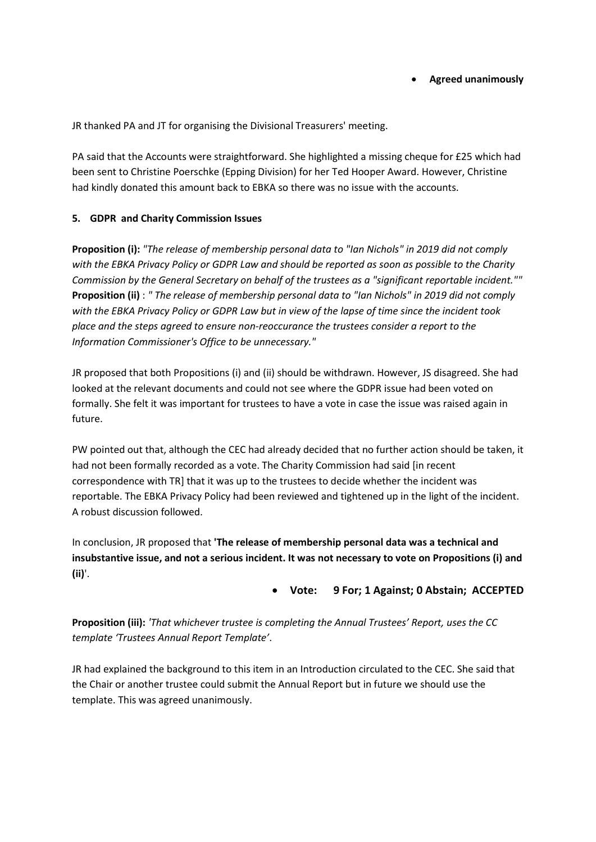#### Agreed unanimously

JR thanked PA and JT for organising the Divisional Treasurers' meeting.

PA said that the Accounts were straightforward. She highlighted a missing cheque for £25 which had been sent to Christine Poerschke (Epping Division) for her Ted Hooper Award. However, Christine had kindly donated this amount back to EBKA so there was no issue with the accounts.

## 5. GDPR and Charity Commission Issues

Proposition (i): "The release of membership personal data to "Ian Nichols" in 2019 did not comply with the EBKA Privacy Policy or GDPR Law and should be reported as soon as possible to the Charity Commission by the General Secretary on behalf of the trustees as a "significant reportable incident."" Proposition (ii) : " The release of membership personal data to "Ian Nichols" in 2019 did not comply with the EBKA Privacy Policy or GDPR Law but in view of the lapse of time since the incident took place and the steps agreed to ensure non-reoccurance the trustees consider a report to the Information Commissioner's Office to be unnecessary."

JR proposed that both Propositions (i) and (ii) should be withdrawn. However, JS disagreed. She had looked at the relevant documents and could not see where the GDPR issue had been voted on formally. She felt it was important for trustees to have a vote in case the issue was raised again in future.

PW pointed out that, although the CEC had already decided that no further action should be taken, it had not been formally recorded as a vote. The Charity Commission had said [in recent correspondence with TR] that it was up to the trustees to decide whether the incident was reportable. The EBKA Privacy Policy had been reviewed and tightened up in the light of the incident. A robust discussion followed.

In conclusion, JR proposed that 'The release of membership personal data was a technical and insubstantive issue, and not a serious incident. It was not necessary to vote on Propositions (i) and (ii)'.

Vote: 9 For; 1 Against; 0 Abstain; ACCEPTED

Proposition (iii): 'That whichever trustee is completing the Annual Trustees' Report, uses the CC template 'Trustees Annual Report Template'.

JR had explained the background to this item in an Introduction circulated to the CEC. She said that the Chair or another trustee could submit the Annual Report but in future we should use the template. This was agreed unanimously.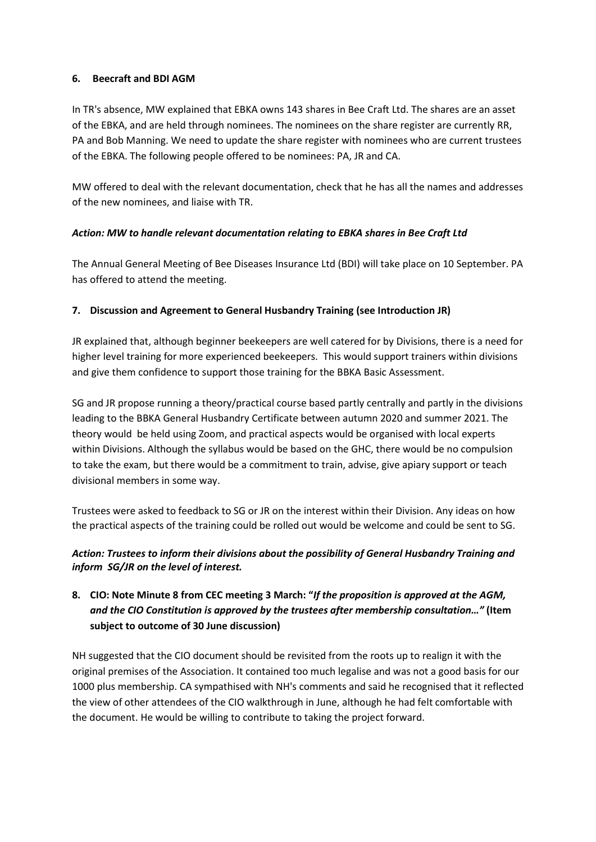#### 6. Beecraft and BDI AGM

In TR's absence, MW explained that EBKA owns 143 shares in Bee Craft Ltd. The shares are an asset of the EBKA, and are held through nominees. The nominees on the share register are currently RR, PA and Bob Manning. We need to update the share register with nominees who are current trustees of the EBKA. The following people offered to be nominees: PA, JR and CA.

MW offered to deal with the relevant documentation, check that he has all the names and addresses of the new nominees, and liaise with TR.

## Action: MW to handle relevant documentation relating to EBKA shares in Bee Craft Ltd

The Annual General Meeting of Bee Diseases Insurance Ltd (BDI) will take place on 10 September. PA has offered to attend the meeting.

## 7. Discussion and Agreement to General Husbandry Training (see Introduction JR)

JR explained that, although beginner beekeepers are well catered for by Divisions, there is a need for higher level training for more experienced beekeepers. This would support trainers within divisions and give them confidence to support those training for the BBKA Basic Assessment.

SG and JR propose running a theory/practical course based partly centrally and partly in the divisions leading to the BBKA General Husbandry Certificate between autumn 2020 and summer 2021. The theory would be held using Zoom, and practical aspects would be organised with local experts within Divisions. Although the syllabus would be based on the GHC, there would be no compulsion to take the exam, but there would be a commitment to train, advise, give apiary support or teach divisional members in some way.

Trustees were asked to feedback to SG or JR on the interest within their Division. Any ideas on how the practical aspects of the training could be rolled out would be welcome and could be sent to SG.

## Action: Trustees to inform their divisions about the possibility of General Husbandry Training and inform SG/JR on the level of interest.

## 8. CIO: Note Minute 8 from CEC meeting 3 March: "If the proposition is approved at the AGM, and the CIO Constitution is approved by the trustees after membership consultation…" (Item subject to outcome of 30 June discussion)

NH suggested that the CIO document should be revisited from the roots up to realign it with the original premises of the Association. It contained too much legalise and was not a good basis for our 1000 plus membership. CA sympathised with NH's comments and said he recognised that it reflected the view of other attendees of the CIO walkthrough in June, although he had felt comfortable with the document. He would be willing to contribute to taking the project forward.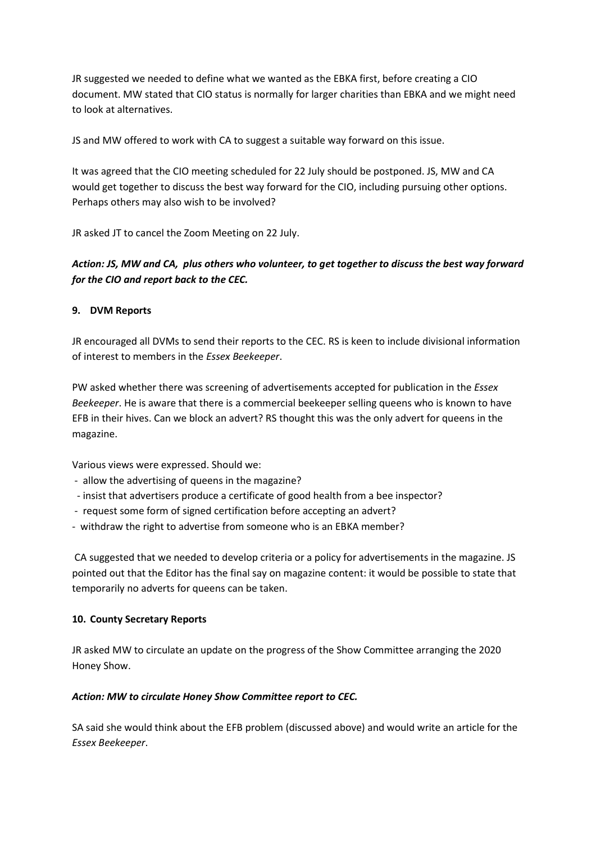JR suggested we needed to define what we wanted as the EBKA first, before creating a CIO document. MW stated that CIO status is normally for larger charities than EBKA and we might need to look at alternatives.

JS and MW offered to work with CA to suggest a suitable way forward on this issue.

It was agreed that the CIO meeting scheduled for 22 July should be postponed. JS, MW and CA would get together to discuss the best way forward for the CIO, including pursuing other options. Perhaps others may also wish to be involved?

JR asked JT to cancel the Zoom Meeting on 22 July.

## Action: JS, MW and CA, plus others who volunteer, to get together to discuss the best way forward for the CIO and report back to the CEC.

## 9. DVM Reports

JR encouraged all DVMs to send their reports to the CEC. RS is keen to include divisional information of interest to members in the Essex Beekeeper.

PW asked whether there was screening of advertisements accepted for publication in the Essex Beekeeper. He is aware that there is a commercial beekeeper selling queens who is known to have EFB in their hives. Can we block an advert? RS thought this was the only advert for queens in the magazine.

Various views were expressed. Should we:

- allow the advertising of queens in the magazine?
- insist that advertisers produce a certificate of good health from a bee inspector?
- request some form of signed certification before accepting an advert?
- withdraw the right to advertise from someone who is an EBKA member?

 CA suggested that we needed to develop criteria or a policy for advertisements in the magazine. JS pointed out that the Editor has the final say on magazine content: it would be possible to state that temporarily no adverts for queens can be taken.

#### 10. County Secretary Reports

JR asked MW to circulate an update on the progress of the Show Committee arranging the 2020 Honey Show.

#### Action: MW to circulate Honey Show Committee report to CEC.

SA said she would think about the EFB problem (discussed above) and would write an article for the Essex Beekeeper.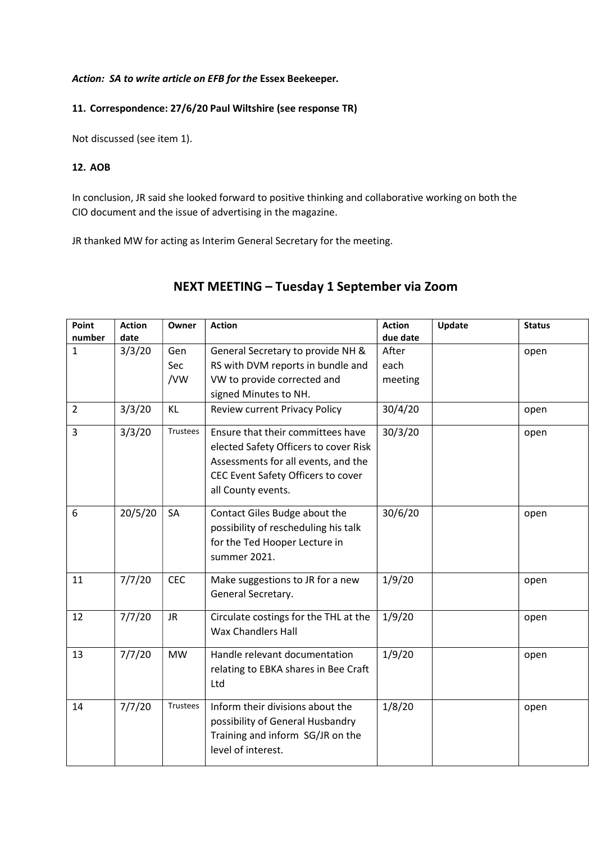## Action: SA to write article on EFB for the Essex Beekeeper.

### 11. Correspondence: 27/6/20 Paul Wiltshire (see response TR)

Not discussed (see item 1).

## 12. AOB

In conclusion, JR said she looked forward to positive thinking and collaborative working on both the CIO document and the issue of advertising in the magazine.

JR thanked MW for acting as Interim General Secretary for the meeting.

# NEXT MEETING – Tuesday 1 September via Zoom

| Point          | <b>Action</b> | Owner     | <b>Action</b>                                                                                                                                                                 | <b>Action</b> | <b>Update</b> | <b>Status</b> |
|----------------|---------------|-----------|-------------------------------------------------------------------------------------------------------------------------------------------------------------------------------|---------------|---------------|---------------|
| number         | date          |           |                                                                                                                                                                               | due date      |               |               |
| $\mathbf{1}$   | 3/3/20        | Gen       | General Secretary to provide NH &                                                                                                                                             | After         |               | open          |
|                |               | Sec       | RS with DVM reports in bundle and                                                                                                                                             | each          |               |               |
|                |               | /VW       | VW to provide corrected and                                                                                                                                                   | meeting       |               |               |
|                |               |           | signed Minutes to NH.                                                                                                                                                         |               |               |               |
| $\overline{2}$ | 3/3/20        | KL        | Review current Privacy Policy                                                                                                                                                 | 30/4/20       |               | open          |
| 3              | 3/3/20        | Trustees  | Ensure that their committees have<br>elected Safety Officers to cover Risk<br>Assessments for all events, and the<br>CEC Event Safety Officers to cover<br>all County events. | 30/3/20       |               | open          |
| 6              | 20/5/20       | SA        | Contact Giles Budge about the<br>possibility of rescheduling his talk<br>for the Ted Hooper Lecture in<br>summer 2021.                                                        | 30/6/20       |               | open          |
| 11             | 7/7/20        | CEC       | Make suggestions to JR for a new<br>General Secretary.                                                                                                                        | 1/9/20        |               | open          |
| 12             | 7/7/20        | <b>JR</b> | Circulate costings for the THL at the<br><b>Wax Chandlers Hall</b>                                                                                                            | 1/9/20        |               | open          |
| 13             | 7/7/20        | <b>MW</b> | Handle relevant documentation<br>relating to EBKA shares in Bee Craft<br>Ltd                                                                                                  | 1/9/20        |               | open          |
| 14             | 7/7/20        | Trustees  | Inform their divisions about the<br>possibility of General Husbandry<br>Training and inform SG/JR on the<br>level of interest.                                                | 1/8/20        |               | open          |